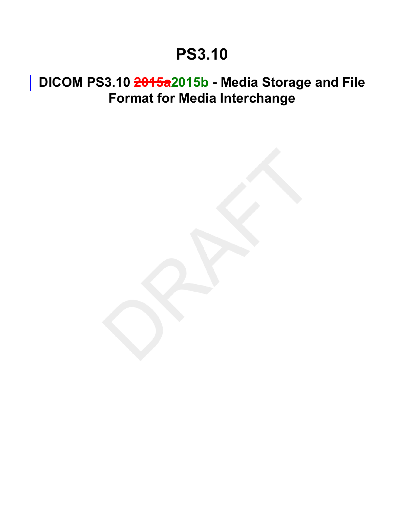## **PS3.10**

## **DICOM PS3.10 2015a2015b - Media Storage and File Format for Media Interchange**

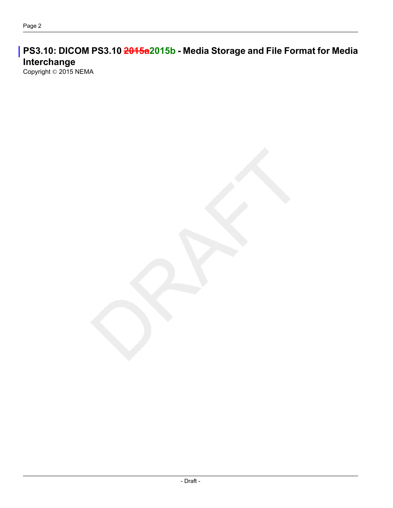**PS3.10: DICOM PS3.10 2015a2015b - Media Storage and File Format for Media Interchange**

Copyright © 2015 NEMA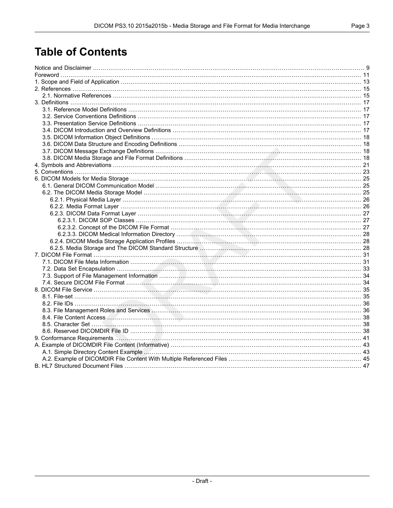## **Table of Contents**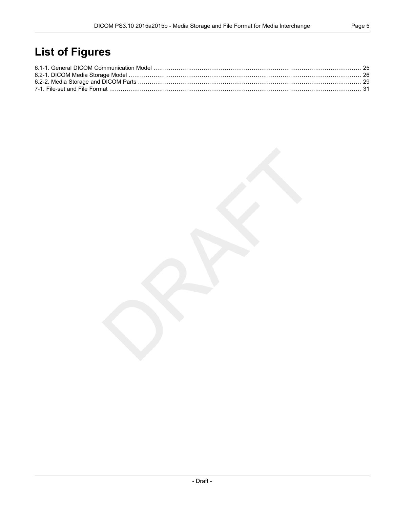## **List of Figures**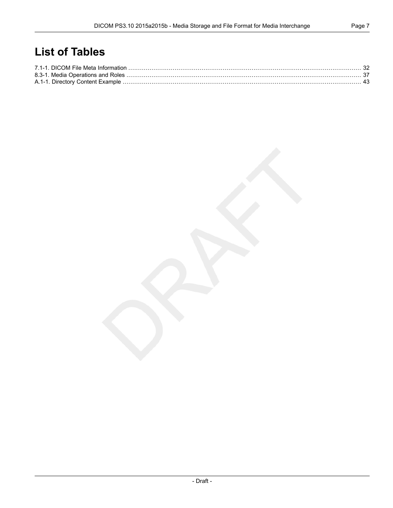## **List of Tables**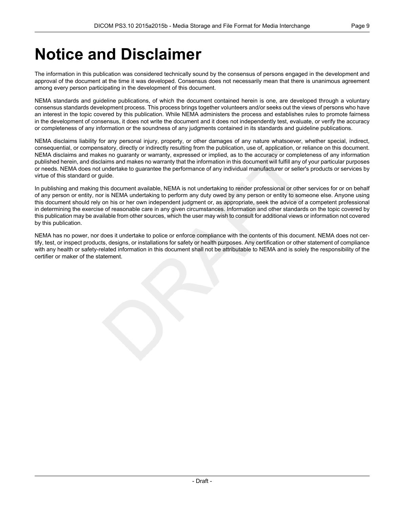## <span id="page-8-0"></span>**Notice and Disclaimer**

The information in this publication was considered technically sound by the consensus of persons engaged in the development and approval of the document at the time it was developed. Consensus does not necessarily mean that there is unanimous agreement among every person participating in the development of this document.

NEMA standards and guideline publications, of which the document contained herein is one, are developed through a voluntary consensus standards development process. This process brings together volunteers and/or seeks out the views of persons who have an interest in the topic covered by this publication. While NEMA administers the process and establishes rules to promote fairness in the development of consensus, it does not write the document and it does not independently test, evaluate, or verify the accuracy or completeness of any information or the soundness of any judgments contained in its standards and guideline publications.

NEMA disclaims liability for any personal injury, property, or other damages of any nature whatsoever, whether special, indirect, consequential, or compensatory, directly or indirectly resulting from the publication, use of, application, or reliance on this document. NEMA disclaims and makes no guaranty or warranty, expressed or implied, as to the accuracy or completeness of any information published herein, and disclaims and makes no warranty that the information in this document will fulfill any of your particular purposes or needs. NEMA does not undertake to guarantee the performance of any individual manufacturer or seller's products or services by virtue of this standard or guide.

In publishing and making this document available, NEMA is not undertaking to render professional or other services for or on behalf of any person or entity, nor is NEMA undertaking to perform any duty owed by any person or entity to someone else. Anyone using this document should rely on his or her own independent judgment or, as appropriate, seek the advice of a competent professional in determining the exercise of reasonable care in any given circumstances. Information and other standards on the topic covered by this publication may be available from other sources, which the user may wish to consult for additional views or information not covered by this publication.

NEMA has no power, nor does it undertake to police or enforce compliance with the contents of this document. NEMA does not certify, test, or inspect products, designs, or installations for safety or health purposes. Any certification or other statement of compliance with any health or safety-related information in this document shall not be attributable to NEMA and is solely the responsibility of the certifier or maker of the statement.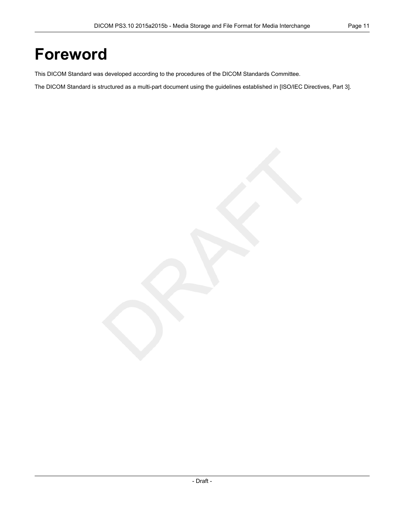## <span id="page-10-0"></span>**Foreword**

This DICOM Standard was developed according to the procedures of the DICOM Standards Committee.

The DICOM Standard is structured as a multi-part document using the guidelines established in [ISO/IEC [Directives,](#page-14-2) Part 3].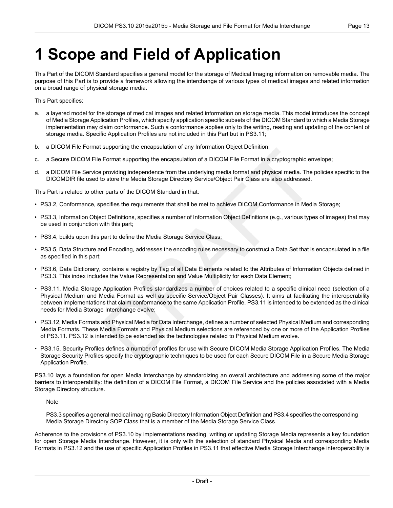## <span id="page-12-0"></span>**1 Scope and Field of Application**

This Part of the DICOM Standard specifies a general model for the storage of Medical Imaging information on removable media. The purpose of this Part is to provide a framework allowing the interchange of various types of medical images and related information on a broad range of physical storage media.

This Part specifies:

- a. a layered model for the storage of medical images and related information on storage media. This model introduces the concept of Media Storage Application Profiles, which specify application specific subsets of the DICOM Standard to which a Media Storage implementation may claim conformance. Such a conformance applies only to the writing, reading and updating of the content of storage media. Specific Application Profiles are not included in this Part but in [PS3.11](part11.pdf#PS3.11);
- b. a DICOM File Format supporting the encapsulation of any Information Object Definition;
- c. a Secure DICOM File Format supporting the encapsulation of a DICOM File Format in a cryptographic envelope;
- d. a DICOM File Service providing independence from the underlying media format and physical media. The policies specific to the DICOMDIR file used to store the Media Storage Directory Service/Object Pair Class are also addressed.

This Part is related to other parts of the DICOM Standard in that:

- [PS3.2](part02.pdf#PS3.2), Conformance, specifies the requirements that shall be met to achieve DICOM Conformance in Media Storage;
- [PS3.3](part03.pdf#PS3.3), Information Object Definitions, specifies a number of Information Object Definitions (e.g., various types of images) that may be used in conjunction with this part;
- [PS3.4](part04.pdf#PS3.4), builds upon this part to define the Media Storage Service Class;
- [PS3.5](part05.pdf#PS3.5), Data Structure and Encoding, addresses the encoding rules necessary to construct a Data Set that is encapsulated in a file as specified in this part;
- [PS3.6](part06.pdf#PS3.6), Data Dictionary, contains a registry by Tag of all Data Elements related to the Attributes of Information Objects defined in [PS3.3](part03.pdf#PS3.3). This index includes the Value Representation and Value Multiplicity for each Data Element;
- [PS3.11](part11.pdf#PS3.11), Media Storage Application Profiles standardizes a number of choices related to a specific clinical need (selection of a Physical Medium and Media Format as well as specific Service/Object Pair Classes). It aims at facilitating the interoperability between implementations that claim conformance to the same Application Profile. [PS3.11](part11.pdf#PS3.11) is intended to be extended as the clinical needs for Media Storage Interchange evolve;
- [PS3.12](part12.pdf#PS3.12), Media Formats and Physical Media for Data Interchange, defines a number of selected Physical Medium and corresponding Media Formats. These Media Formats and Physical Medium selections are referenced by one or more of the Application Profiles of [PS3.11](part11.pdf#PS3.11). [PS3.12](part12.pdf#PS3.12) is intended to be extended as the technologies related to Physical Medium evolve.
- [PS3.15](part15.pdf#PS3.15), Security Profiles defines a number of profiles for use with Secure DICOM Media Storage Application Profiles. The Media Storage Security Profiles specify the cryptographic techniques to be used for each Secure DICOM File in a Secure Media Storage Application Profile.

PS3.10 lays a foundation for open Media Interchange by standardizing an overall architecture and addressing some of the major barriers to interoperability: the definition of a DICOM File Format, a DICOM File Service and the policies associated with a Media Storage Directory structure.

Note

[PS3.3](part03.pdf#PS3.3) specifies a general medical imaging Basic Directory Information Object Definition and [PS3.4](part04.pdf#PS3.4) specifies the corresponding Media Storage Directory SOP Class that is a member of the Media Storage Service Class.

Adherence to the provisions of PS3.10 by implementations reading, writing or updating Storage Media represents a key foundation for open Storage Media Interchange. However, it is only with the selection of standard Physical Media and corresponding Media Formats in [PS3.12](part12.pdf#PS3.12) and the use of specific Application Profiles in [PS3.11](part11.pdf#PS3.11) that effective Media Storage Interchange interoperability is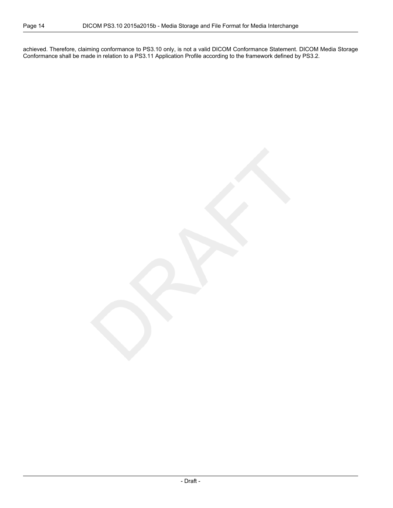achieved. Therefore, claiming conformance to PS3.10 only, is not a valid DICOM Conformance Statement. DICOM Media Storage Conformance shall be made in relation to a [PS3.11](part11.pdf#PS3.11) Application Profile according to the framework defined by [PS3.2.](part02.pdf#PS3.2)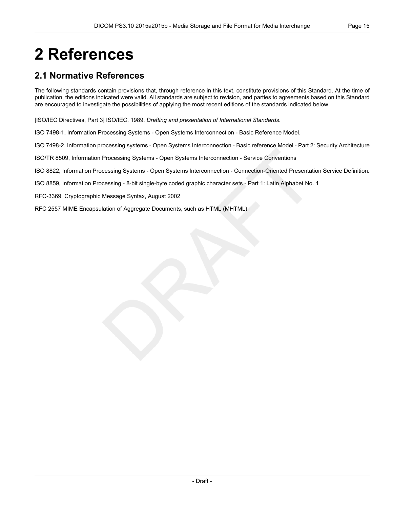# <span id="page-14-0"></span>**2 References**

## <span id="page-14-1"></span>**2.1 Normative References**

The following standards contain provisions that, through reference in this text, constitute provisions of this Standard. At the time of publication, the editions indicated were valid. All standards are subject to revision, and parties to agreements based on this Standard are encouraged to investigate the possibilities of applying the most recent editions of the standards indicated below.

<span id="page-14-2"></span>[ISO/IEC Directives, Part 3] ISO/IEC. 1989. *Drafting and presentation of International Standards*.

ISO 7498-1, Information Processing Systems - Open Systems Interconnection - Basic Reference Model.

ISO 7498-2, Information processing systems - Open Systems Interconnection - Basic reference Model - Part 2: Security Architecture

ISO/TR 8509, Information Processing Systems - Open Systems Interconnection - Service Conventions

ISO 8822, Information Processing Systems - Open Systems Interconnection - Connection-Oriented Presentation Service Definition.

ISO 8859, Information Processing - 8-bit single-byte coded graphic character sets - Part 1: Latin Alphabet No. 1

RFC-3369, Cryptographic Message Syntax, August 2002

RFC 2557 MIME Encapsulation of Aggregate Documents, such as HTML (MHTML)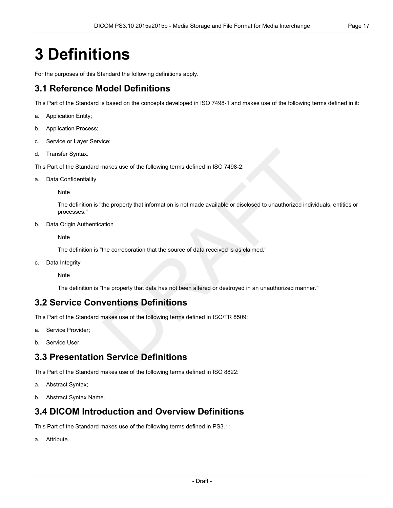## <span id="page-16-0"></span>**3 Definitions**

<span id="page-16-1"></span>For the purposes of this Standard the following definitions apply.

## **3.1 Reference Model Definitions**

This Part of the Standard is based on the concepts developed in ISO 7498-1 and makes use of the following terms defined in it:

- a. Application Entity;
- b. Application Process;
- c. Service or Layer Service;
- d. Transfer Syntax.

This Part of the Standard makes use of the following terms defined in ISO 7498-2:

a. Data Confidentiality

Note

The definition is "the property that information is not made available or disclosed to unauthorized individuals, entities or processes."

b. Data Origin Authentication

**Note** 

The definition is "the corroboration that the source of data received is as claimed."

<span id="page-16-2"></span>c. Data Integrity

Note

The definition is "the property that data has not been altered or destroyed in an unauthorized manner."

## **3.2 Service Conventions Definitions**

<span id="page-16-3"></span>This Part of the Standard makes use of the following terms defined in ISO/TR 8509:

- a. Service Provider;
- b. Service User.

## **3.3 Presentation Service Definitions**

<span id="page-16-4"></span>This Part of the Standard makes use of the following terms defined in ISO 8822:

- a. Abstract Syntax;
- b. Abstract Syntax Name.

## **3.4 DICOM Introduction and Overview Definitions**

This Part of the Standard makes use of the following terms defined in [PS3.1:](part01.pdf#PS3.1)

a. Attribute.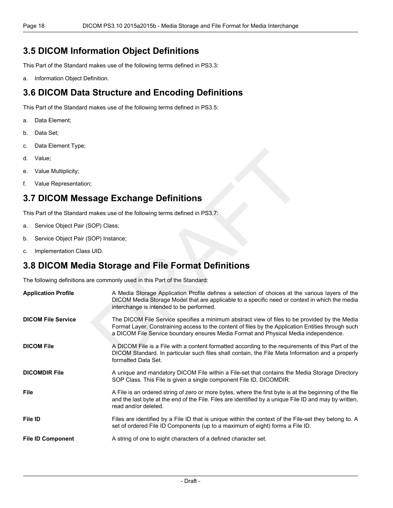## <span id="page-17-0"></span>**3.5 DICOM Information Object Definitions**

This Part of the Standard makes use of the following terms defined in [PS3.3:](part03.pdf#PS3.3)

<span id="page-17-1"></span>a. Information Object Definition.

## **3.6 DICOM Data Structure and Encoding Definitions**

This Part of the Standard makes use of the following terms defined in [PS3.5:](part05.pdf#PS3.5)

- a. Data Element;
- b. Data Set;
- c. Data Element Type;
- d. Value;
- <span id="page-17-2"></span>e. Value Multiplicity;
- f. Value Representation;

## **3.7 DICOM Message Exchange Definitions**

This Part of the Standard makes use of the following terms defined in [PS3.7:](part07.pdf#PS3.7)

- a. Service Object Pair (SOP) Class;
- <span id="page-17-3"></span>b. Service Object Pair (SOP) Instance;
- c. Implementation Class UID.

### **3.8 DICOM Media Storage and File Format Definitions**

The following definitions are commonly used in this Part of the Standard:

| <b>Application Profile</b> | A Media Storage Application Profile defines a selection of choices at the various layers of the<br>DICOM Media Storage Model that are applicable to a specific need or context in which the media<br>interchange is intended to be performed.                                              |
|----------------------------|--------------------------------------------------------------------------------------------------------------------------------------------------------------------------------------------------------------------------------------------------------------------------------------------|
| <b>DICOM File Service</b>  | The DICOM File Service specifies a minimum abstract view of files to be provided by the Media<br>Format Layer. Constraining access to the content of files by the Application Entities through such<br>a DICOM File Service boundary ensures Media Format and Physical Media independence. |
| <b>DICOM File</b>          | A DICOM File is a File with a content formatted according to the requirements of this Part of the<br>DICOM Standard. In particular such files shall contain, the File Meta Information and a properly<br>formatted Data Set.                                                               |
| <b>DICOMDIR File</b>       | A unique and mandatory DICOM File within a File-set that contains the Media Storage Directory<br>SOP Class. This File is given a single component File ID, DICOMDIR.                                                                                                                       |
| <b>File</b>                | A File is an ordered string of zero or more bytes, where the first byte is at the beginning of the file<br>and the last byte at the end of the File. Files are identified by a unique File ID and may by written,<br>read and/or deleted.                                                  |
| File ID                    | Files are identified by a File ID that is unique within the context of the File-set they belong to. A<br>set of ordered File ID Components (up to a maximum of eight) forms a File ID.                                                                                                     |
| <b>File ID Component</b>   | A string of one to eight characters of a defined character set.                                                                                                                                                                                                                            |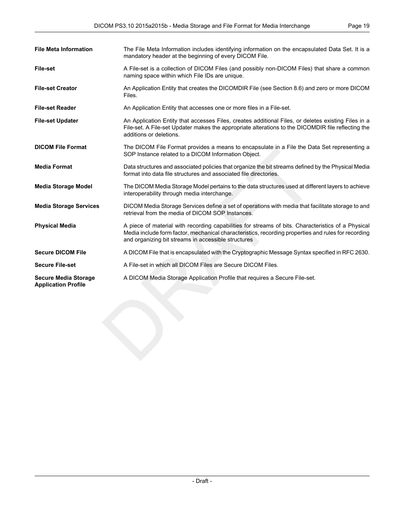| <b>File Meta Information</b>                              | The File Meta Information includes identifying information on the encapsulated Data Set. It is a<br>mandatory header at the beginning of every DICOM File.                                                                                                       |
|-----------------------------------------------------------|------------------------------------------------------------------------------------------------------------------------------------------------------------------------------------------------------------------------------------------------------------------|
| <b>File-set</b>                                           | A File-set is a collection of DICOM Files (and possibly non-DICOM Files) that share a common<br>naming space within which File IDs are unique.                                                                                                                   |
| <b>File-set Creator</b>                                   | An Application Entity that creates the DICOMDIR File (see Section 8.6) and zero or more DICOM<br>Files.                                                                                                                                                          |
| <b>File-set Reader</b>                                    | An Application Entity that accesses one or more files in a File-set.                                                                                                                                                                                             |
| <b>File-set Updater</b>                                   | An Application Entity that accesses Files, creates additional Files, or deletes existing Files in a<br>File-set. A File-set Updater makes the appropriate alterations to the DICOMDIR file reflecting the<br>additions or deletions.                             |
| <b>DICOM File Format</b>                                  | The DICOM File Format provides a means to encapsulate in a File the Data Set representing a<br>SOP Instance related to a DICOM Information Object.                                                                                                               |
| <b>Media Format</b>                                       | Data structures and associated policies that organize the bit streams defined by the Physical Media<br>format into data file structures and associated file directories.                                                                                         |
| <b>Media Storage Model</b>                                | The DICOM Media Storage Model pertains to the data structures used at different layers to achieve<br>interoperability through media interchange.                                                                                                                 |
| <b>Media Storage Services</b>                             | DICOM Media Storage Services define a set of operations with media that facilitate storage to and<br>retrieval from the media of DICOM SOP Instances.                                                                                                            |
| <b>Physical Media</b>                                     | A piece of material with recording capabilities for streams of bits. Characteristics of a Physical<br>Media include form factor, mechanical characteristics, recording properties and rules for recording<br>and organizing bit streams in accessible structures |
| <b>Secure DICOM File</b>                                  | A DICOM File that is encapsulated with the Cryptographic Message Syntax specified in RFC 2630.                                                                                                                                                                   |
| <b>Secure File-set</b>                                    | A File-set in which all DICOM Files are Secure DICOM Files.                                                                                                                                                                                                      |
| <b>Secure Media Storage</b><br><b>Application Profile</b> | A DICOM Media Storage Application Profile that requires a Secure File-set.                                                                                                                                                                                       |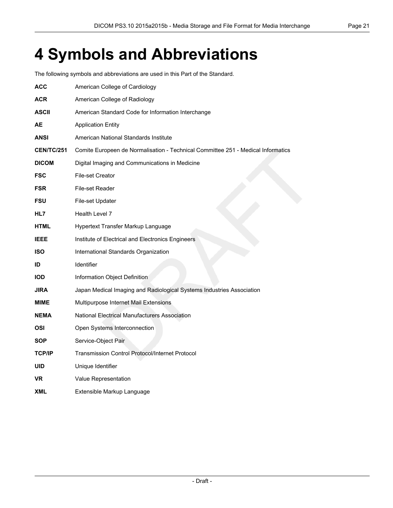# <span id="page-20-0"></span>**4 Symbols and Abbreviations**

The following symbols and abbreviations are used in this Part of the Standard.

| <b>ACC</b>        | American College of Cardiology                                                   |
|-------------------|----------------------------------------------------------------------------------|
| <b>ACR</b>        | American College of Radiology                                                    |
| <b>ASCII</b>      | American Standard Code for Information Interchange                               |
| AE                | <b>Application Entity</b>                                                        |
| <b>ANSI</b>       | American National Standards Institute                                            |
| <b>CEN/TC/251</b> | Comite Europeen de Normalisation - Technical Committee 251 - Medical Informatics |
| <b>DICOM</b>      | Digital Imaging and Communications in Medicine                                   |
| <b>FSC</b>        | File-set Creator                                                                 |
| <b>FSR</b>        | File-set Reader                                                                  |
| <b>FSU</b>        | File-set Updater                                                                 |
| HL7               | Health Level 7                                                                   |
| <b>HTML</b>       | Hypertext Transfer Markup Language                                               |
| <b>IEEE</b>       | Institute of Electrical and Electronics Engineers                                |
| <b>ISO</b>        | International Standards Organization                                             |
| ID                | Identifier                                                                       |
| <b>IOD</b>        | Information Object Definition                                                    |
| <b>JIRA</b>       | Japan Medical Imaging and Radiological Systems Industries Association            |
| MIME              | Multipurpose Internet Mail Extensions                                            |
| <b>NEMA</b>       | National Electrical Manufacturers Association                                    |
| OSI               | Open Systems Interconnection                                                     |
| <b>SOP</b>        | Service-Object Pair                                                              |
| <b>TCP/IP</b>     | <b>Transmission Control Protocol/Internet Protocol</b>                           |
| <b>UID</b>        | Unique Identifier                                                                |
| <b>VR</b>         | Value Representation                                                             |
| XML               | Extensible Markup Language                                                       |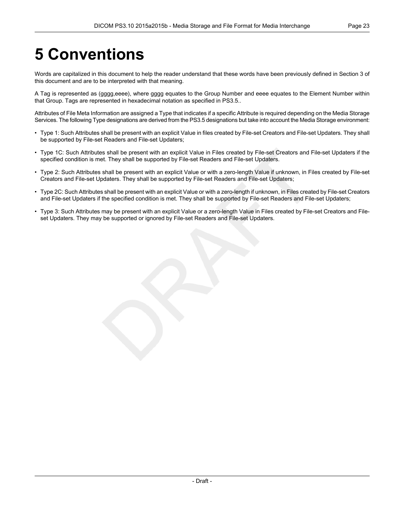# <span id="page-22-0"></span>**5 Conventions**

Words are capitalized in this document to help the reader understand that these words have been previously defined in Section 3 of this document and are to be interpreted with that meaning.

A Tag is represented as (gggg,eeee), where gggg equates to the Group Number and eeee equates to the Element Number within that Group. Tags are represented in hexadecimal notation as specified in [PS3.5.](part05.pdf#PS3.5).

Attributes of File Meta Information are assigned a Type that indicates if a specific Attribute is required depending on the Media Storage Services. The following Type designations are derived from the [PS3.5](part05.pdf#PS3.5) designations but take into account the Media Storage environment:

- Type 1: Such Attributes shall be present with an explicit Value in files created by File-set Creators and File-set Updaters. They shall be supported by File-set Readers and File-set Updaters;
- Type 1C: Such Attributes shall be present with an explicit Value in Files created by File-set Creators and File-set Updaters if the specified condition is met. They shall be supported by File-set Readers and File-set Updaters.
- Type 2: Such Attributes shall be present with an explicit Value or with a zero-length Value if unknown, in Files created by File-set Creators and File-set Updaters. They shall be supported by File-set Readers and File-set Updaters;
- Type 2C: Such Attributes shall be present with an explicit Value or with a zero-length if unknown, in Files created by File-set Creators and File-set Updaters if the specified condition is met. They shall be supported by File-set Readers and File-set Updaters;
- Type 3: Such Attributes may be present with an explicit Value or a zero-length Value in Files created by File-set Creators and Fileset Updaters. They may be supported or ignored by File-set Readers and File-set Updaters.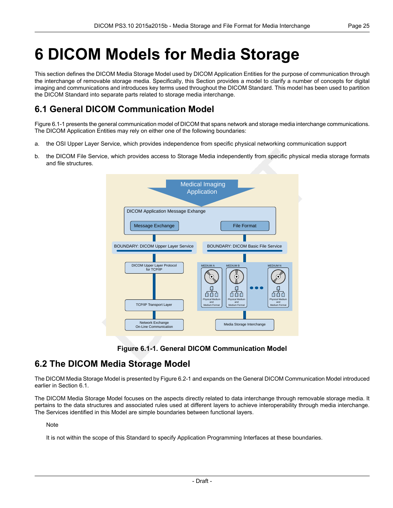# <span id="page-24-0"></span>**6 DICOM Models for Media Storage**

This section defines the DICOM Media Storage Model used by DICOM Application Entities for the purpose of communication through the interchange of removable storage media. Specifically, this Section provides a model to clarify a number of concepts for digital imaging and communications and introduces key terms used throughout the DICOM Standard. This model has been used to partition the DICOM Standard into separate parts related to storage media interchange.

## <span id="page-24-1"></span>**6.1 General DICOM Communication Model**

[Figure](#page-24-3) 6.1-1 presents the general communication model of DICOM that spans network and storage media interchange communications. The DICOM Application Entities may rely on either one of the following boundaries:

- a. the OSI Upper Layer Service, which provides independence from specific physical networking communication support
- <span id="page-24-3"></span>b. the DICOM File Service, which provides access to Storage Media independently from specific physical media storage formats and file structures.





## <span id="page-24-2"></span>**6.2 The DICOM Media Storage Model**

The DICOM Media Storage Model is presented by [Figure](#page-25-2) 6.2-1 and expands on the General DICOM Communication Model introduced earlier in [Section](#page-24-1) 6.1.

The DICOM Media Storage Model focuses on the aspects directly related to data interchange through removable storage media. It pertains to the data structures and associated rules used at different layers to achieve interoperability through media interchange. The Services identified in this Model are simple boundaries between functional layers.

#### Note

It is not within the scope of this Standard to specify Application Programming Interfaces at these boundaries.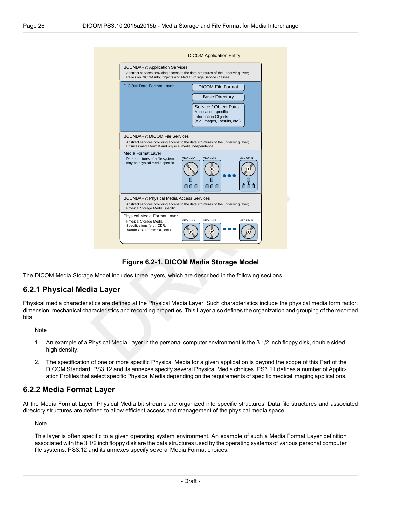<span id="page-25-2"></span>

| <b>BOUNDARY: Application Services</b><br>Relies on DICOM info; Objects and Media Storage Service Classes           | Abstract services providing access to the data structures of the underlying layer;                                                                                  |
|--------------------------------------------------------------------------------------------------------------------|---------------------------------------------------------------------------------------------------------------------------------------------------------------------|
| <b>DICOM Data Format Layer</b>                                                                                     | <b>DICOM File Format</b><br><b>Basic Directory</b><br>Service / Object Pairs;<br>Application-specific<br><b>Information Objects</b><br>(e.g. Images, Results, etc.) |
| <b>BOUNDARY: DICOM File Services</b><br>Ensures media format and physical media independence<br>Media Format Layer | Abstract services providing access to the data structures of the underlying layer;                                                                                  |
| Data structures of a file system,<br>may be physical media-specific                                                | <b>MEDIUM B</b><br><b>MEDIUM A</b><br><b>MEDIUM N</b>                                                                                                               |
| <b>BOUNDARY: Physical Media Access Services</b><br>Physical Storage Media Specific                                 | Abstract services providing access to the data structures of the underlying layer;                                                                                  |
| Physical Media Format Layer<br>Physical Storage Media<br>Specifications (e.g., CDR,<br>90mm OD, 130mm OD, etc.)    | <b>MEDIUM B</b><br>MEDIUM A<br><b>MEDIUM N</b>                                                                                                                      |

#### **Figure 6.2-1. DICOM Media Storage Model**

<span id="page-25-0"></span>The DICOM Media Storage Model includes three layers, which are described in the following sections.

#### **6.2.1 Physical Media Layer**

Physical media characteristics are defined at the Physical Media Layer. Such characteristics include the physical media form factor, dimension, mechanical characteristics and recording properties. This Layer also defines the organization and grouping of the recorded bits.

Note

- <span id="page-25-1"></span>1. An example of a Physical Media Layer in the personal computer environment is the 3 1/2 inch floppy disk, double sided, high density.
- 2. The specification of one or more specific Physical Media for a given application is beyond the scope of this Part of the DICOM Standard. [PS3.12](part12.pdf#PS3.12) and its annexes specify several Physical Media choices. [PS3.11](part11.pdf#PS3.11) defines a number of Application Profiles that select specific Physical Media depending on the requirements of specific medical imaging applications.

#### **6.2.2 Media Format Layer**

At the Media Format Layer, Physical Media bit streams are organized into specific structures. Data file structures and associated directory structures are defined to allow efficient access and management of the physical media space.

**Note** 

This layer is often specific to a given operating system environment. An example of such a Media Format Layer definition associated with the 3 1/2 inch floppy disk are the data structures used by the operating systems of various personal computer file systems. [PS3.12](part12.pdf#PS3.12) and its annexes specify several Media Format choices.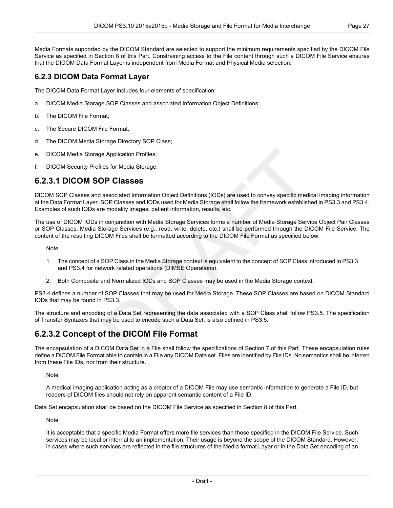Media Formats supported by the DICOM Standard are selected to support the minimum requirements specified by the DICOM File Service as specified in Section 8 of this Part. Constraining access to the File content through such a DICOM File Service ensures that the DICOM Data Format Layer is independent from Media Format and Physical Media selection.

### <span id="page-26-0"></span>**6.2.3 DICOM Data Format Layer**

The DICOM Data Format Layer includes four elements of specification:

- a. DICOM Media Storage SOP Classes and associated Information Object Definitions;
- b. The DICOM File Format;
- c. The Secure DICOM File Format;
- d. The DICOM Media Storage Directory SOP Class;
- <span id="page-26-1"></span>e. DICOM Media Storage Application Profiles;
- f. DICOM Security Profiles for Media Storage.

### **6.2.3.1 DICOM SOP Classes**

DICOM SOP Classes and associated Information Object Definitions (IODs) are used to convey specific medical imaging information at the Data Format Layer. SOP Classes and IODs used for Media Storage shall follow the framework established in [PS3.3](part03.pdf#PS3.3) and [PS3.4.](part04.pdf#PS3.4) Examples of such IODs are modality images, patient information, results, etc.

The use of DICOM IODs in conjunction with Media Storage Services forms a number of Media Storage Service Object Pair Classes or SOP Classes. Media Storage Services (e.g., read, write, delete, etc.) shall be performed through the DICOM File Service. The content of the resulting DICOM Files shall be formatted according to the DICOM File Format as specified below.

Note

- 1. The concept of a SOP Class in the Media Storage context is equivalent to the concept of SOP Class introduced in [PS3.3](part03.pdf#PS3.3) and [PS3.4](part04.pdf#PS3.4) for network related operations (DIMSE Operations).
- 2. Both Composite and Normalized IODs and SOP Classes may be used in the Media Storage context.

<span id="page-26-2"></span>[PS3.4](part04.pdf#PS3.4) defines a number of SOP Classes that may be used for Media Storage. These SOP Classes are based on DICOM Standard IODs that may be found in [PS3.3](part03.pdf#PS3.3).

The structure and encoding of a Data Set representing the data associated with a SOP Class shall follow [PS3.5.](part05.pdf#PS3.5) The specification of Transfer Syntaxes that may be used to encode such a Data Set, is also defined in [PS3.5.](part05.pdf#PS3.5)

## **6.2.3.2 Concept of the DICOM File Format**

The encapsulation of a DICOM Data Set in a File shall follow the specifications of Section 7 of this Part. These encapsulation rules define a DICOM File Format able to contain in a File any DICOM Data set. Files are identified by File IDs. No semantics shall be inferred from these File IDs, nor from their structure.

**Note** 

A medical imaging application acting as a creator of a DICOM File may use semantic information to generate a File ID, but readers of DICOM files should not rely on apparent semantic content of a File ID.

Data Set encapsulation shall be based on the DICOM File Service as specified in Section 8 of this Part.

Note

It is acceptable that a specific Media Format offers more file services than those specified in the DICOM File Service. Such services may be local or internal to an implementation. Their usage is beyond the scope of the DICOM Standard. However, in cases where such services are reflected in the file structures of the Media format Layer or in the Data Set encoding of an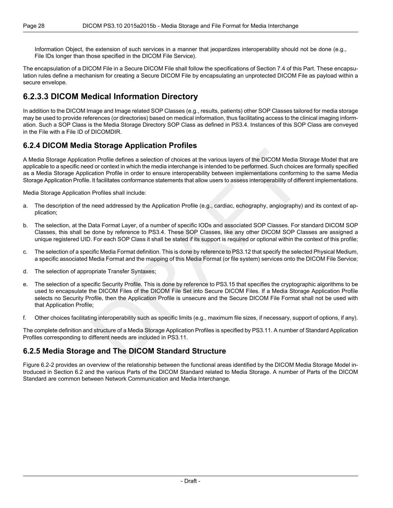Information Object, the extension of such services in a manner that jeopardizes interoperability should not be done (e.g., File IDs longer than those specified in the DICOM File Service).

<span id="page-27-0"></span>The encapsulation of a DICOM File in a Secure DICOM File shall follow the specifications of [Section](#page-33-1) 7.4 of this Part. These encapsulation rules define a mechanism for creating a Secure DICOM File by encapsulating an unprotected DICOM File as payload within a secure envelope.

### **6.2.3.3 DICOM Medical Information Directory**

<span id="page-27-1"></span>In addition to the DICOM Image and Image related SOP Classes (e.g., results, patients) other SOP Classes tailored for media storage may be used to provide references (or directories) based on medical information, thus facilitating access to the clinical imaging information. Such a SOP Class is the Media Storage Directory SOP Class as defined in [PS3.4](part04.pdf#PS3.4). Instances of this SOP Class are conveyed in the File with a File ID of DICOMDIR.

### **6.2.4 DICOM Media Storage Application Profiles**

A Media Storage Application Profile defines a selection of choices at the various layers of the DICOM Media Storage Model that are applicable to a specific need or context in which the media interchange is intended to be performed. Such choices are formally specified as a Media Storage Application Profile in order to ensure interoperability between implementations conforming to the same Media Storage Application Profile. It facilitates conformance statements that allow users to assess interoperability of different implementations.

Media Storage Application Profiles shall include:

- a. The description of the need addressed by the Application Profile (e.g., cardiac, echography, angiography) and its context of application;
- b. The selection, at the Data Format Layer, of a number of specific IODs and associated SOP Classes. For standard DICOM SOP Classes, this shall be done by reference to [PS3.4.](part04.pdf#PS3.4) These SOP Classes, like any other DICOM SOP Classes are assigned a unique registered UID. For each SOP Class it shall be stated if its support is required or optional within the context of this profile;
- c. The selection of a specific Media Format definition. This is done by reference to [PS3.12](part12.pdf#PS3.12) that specify the selected Physical Medium, a specific associated Media Format and the mapping of this Media Format (or file system) services onto the DICOM File Service;
- d. The selection of appropriate Transfer Syntaxes;
- e. The selection of a specific Security Profile. This is done by reference to [PS3.15](part15.pdf#PS3.15) that specifies the cryptographic algorithms to be used to encapsulate the DICOM Files of the DICOM File Set into Secure DICOM Files. If a Media Storage Application Profile selects no Security Profile, then the Application Profile is unsecure and the Secure DICOM File Format shall not be used with that Application Profile;
- <span id="page-27-2"></span>f. Other choices facilitating interoperability such as specific limits (e.g., maximum file sizes, if necessary, support of options, if any).

The complete definition and structure of a Media Storage Application Profiles is specified by [PS3.11](part11.pdf#PS3.11). A number of Standard Application Profiles corresponding to different needs are included in [PS3.11](part11.pdf#PS3.11).

#### **6.2.5 Media Storage and The DICOM Standard Structure**

[Figure](#page-28-0) 6.2-2 provides an overview of the relationship between the functional areas identified by the DICOM Media Storage Model introduced in [Section](#page-24-2) 6.2 and the various Parts of the DICOM Standard related to Media Storage. A number of Parts of the DICOM Standard are common between Network Communication and Media Interchange.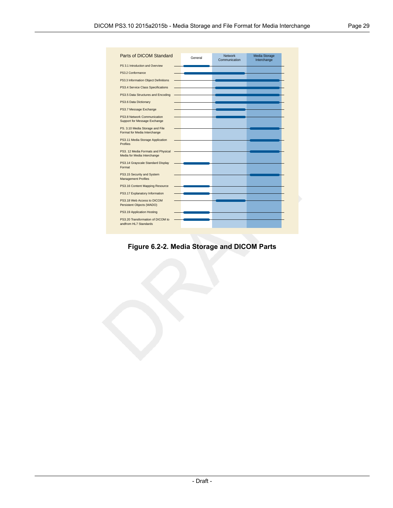<span id="page-28-0"></span>

| Parts of DICOM Standard                                           | General | <b>Network</b><br>Communication | Media Storage<br>Interchange |
|-------------------------------------------------------------------|---------|---------------------------------|------------------------------|
| PS 3.1 Introduction and Overview                                  |         |                                 |                              |
| PS3.2 Conformance                                                 |         |                                 |                              |
| PS3.3 Information Object Definitions                              |         |                                 |                              |
| PS3.4 Service Class Specifications                                |         |                                 |                              |
| PS3.5 Data Structures and Encoding                                |         |                                 |                              |
| PS3.6 Data Dictionary                                             |         |                                 |                              |
| PS3.7 Message Exchange                                            |         |                                 |                              |
| PS3.8 Network Communication<br>Support for Message Exchange       |         |                                 |                              |
| PS. 3.10 Media Storage and File<br>Format for Media Interchange   |         |                                 |                              |
| PS3.11 Media Storage Application<br>Profiles                      |         |                                 |                              |
| PS3. 12 Media Formats and Physical<br>Media for Media Interchange |         |                                 |                              |
| PS3.14 Grayscale Standard Display<br>Format                       |         |                                 |                              |
| PS3.15 Security and System<br><b>Management Profiles</b>          |         |                                 |                              |
| PS3.16 Content Mapping Resource                                   |         |                                 |                              |
| PS3.17 Explanatory Information                                    |         |                                 |                              |
| PS3.18 Web Access to DICOM<br>Persistent Objects (WADO)           |         |                                 |                              |
| PS3.19 Application Hosting                                        |         |                                 |                              |
| PS3.20 Transformation of DICOM to<br>andfrom HL7 Standards        |         |                                 |                              |

### **Figure 6.2-2. Media Storage and DICOM Parts**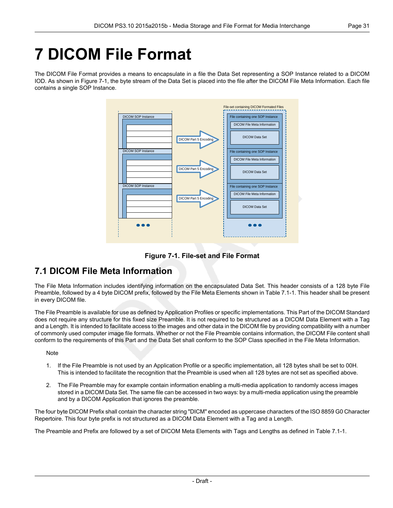## <span id="page-30-0"></span>**7 DICOM File Format**

<span id="page-30-2"></span>The DICOM File Format provides a means to encapsulate in a file the Data Set representing a SOP Instance related to a DICOM IOD. As shown in [Figure](#page-30-2) 7-1, the byte stream of the Data Set is placed into the file after the DICOM File Meta Information. Each file contains a single SOP Instance.





## <span id="page-30-1"></span>**7.1 DICOM File Meta Information**

The File Meta Information includes identifying information on the encapsulated Data Set. This header consists of a 128 byte File Preamble, followed by a 4 byte DICOM prefix, followed by the File Meta Elements shown in [Table](#page-31-0) 7.1-1. This header shall be present in every DICOM file.

The File Preamble is available for use as defined by Application Profiles or specific implementations. This Part of the DICOM Standard does not require any structure for this fixed size Preamble. It is not required to be structured as a DICOM Data Element with a Tag and a Length. It is intended to facilitate access to the images and other data in the DICOM file by providing compatibility with a number of commonly used computer image file formats. Whether or not the File Preamble contains information, the DICOM File content shall conform to the requirements of this Part and the Data Set shall conform to the SOP Class specified in the File Meta Information.

**Note** 

- 1. If the File Preamble is not used by an Application Profile or a specific implementation, all 128 bytes shall be set to 00H. This is intended to facilitate the recognition that the Preamble is used when all 128 bytes are not set as specified above.
- 2. The File Preamble may for example contain information enabling a multi-media application to randomly access images stored in a DICOM Data Set. The same file can be accessed in two ways: by a multi-media application using the preamble and by a DICOM Application that ignores the preamble.

The four byte DICOM Prefix shall contain the character string "DICM" encoded as uppercase characters of the ISO 8859 G0 Character Repertoire. This four byte prefix is not structured as a DICOM Data Element with a Tag and a Length.

The Preamble and Prefix are followed by a set of DICOM Meta Elements with Tags and Lengths as defined in [Table](#page-31-0) 7.1-1.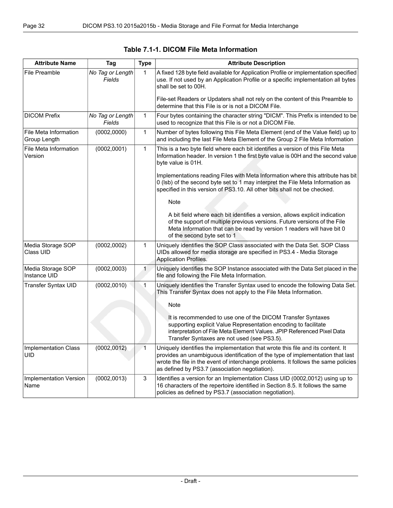<span id="page-31-0"></span>

| <b>Attribute Name</b>                 | Tag                        | <b>Type</b>  | <b>Attribute Description</b>                                                                                                                                                                                                                                                                             |
|---------------------------------------|----------------------------|--------------|----------------------------------------------------------------------------------------------------------------------------------------------------------------------------------------------------------------------------------------------------------------------------------------------------------|
| File Preamble                         | No Tag or Length<br>Fields | 1            | A fixed 128 byte field available for Application Profile or implementation specified<br>use. If not used by an Application Profile or a specific implementation all bytes<br>shall be set to 00H.                                                                                                        |
|                                       |                            |              | File-set Readers or Updaters shall not rely on the content of this Preamble to<br>determine that this File is or is not a DICOM File.                                                                                                                                                                    |
| <b>DICOM Prefix</b>                   | No Tag or Length<br>Fields | 1            | Four bytes containing the character string "DICM". This Prefix is intended to be<br>used to recognize that this File is or not a DICOM File.                                                                                                                                                             |
| File Meta Information<br>Group Length | (0002, 0000)               | 1            | Number of bytes following this File Meta Element (end of the Value field) up to<br>and including the last File Meta Element of the Group 2 File Meta Information                                                                                                                                         |
| File Meta Information<br>Version      | (0002,0001)                | 1            | This is a two byte field where each bit identifies a version of this File Meta<br>Information header. In version 1 the first byte value is 00H and the second value<br>byte value is 01H.                                                                                                                |
|                                       |                            |              | Implementations reading Files with Meta Information where this attribute has bit<br>0 (Isb) of the second byte set to 1 may interpret the File Meta Information as<br>specified in this version of PS3.10. All other bits shall not be checked.                                                          |
|                                       |                            |              | Note                                                                                                                                                                                                                                                                                                     |
|                                       |                            |              | A bit field where each bit identifies a version, allows explicit indication<br>of the support of multiple previous versions. Future versions of the File<br>Meta Information that can be read by version 1 readers will have bit 0<br>of the second byte set to 1                                        |
| Media Storage SOP<br>Class UID        | (0002, 0002)               | 1            | Uniquely identifies the SOP Class associated with the Data Set. SOP Class<br>UIDs allowed for media storage are specified in PS3.4 - Media Storage<br><b>Application Profiles.</b>                                                                                                                       |
| Media Storage SOP<br>Instance UID     | (0002, 0003)               | $\mathbf{1}$ | Uniquely identifies the SOP Instance associated with the Data Set placed in the<br>file and following the File Meta Information.                                                                                                                                                                         |
| Transfer Syntax UID                   | (0002, 0010)               | 1            | Uniquely identifies the Transfer Syntax used to encode the following Data Set.<br>This Transfer Syntax does not apply to the File Meta Information.                                                                                                                                                      |
|                                       |                            |              | Note                                                                                                                                                                                                                                                                                                     |
|                                       |                            |              | It is recommended to use one of the DICOM Transfer Syntaxes<br>supporting explicit Value Representation encoding to facilitate<br>interpretation of File Meta Element Values. JPIP Referenced Pixel Data<br>Transfer Syntaxes are not used (see PS3.5).                                                  |
| Implementation Class<br><b>UID</b>    | (0002, 0012)               | 1            | Uniquely identifies the implementation that wrote this file and its content. It<br>provides an unambiguous identification of the type of implementation that last<br>wrote the file in the event of interchange problems. It follows the same policies<br>as defined by PS3.7 (association negotiation). |
| Implementation Version<br>Name        | (0002, 0013)               | 3            | Identifies a version for an Implementation Class UID (0002,0012) using up to<br>16 characters of the repertoire identified in Section 8.5. It follows the same<br>policies as defined by PS3.7 (association negotiation).                                                                                |

**Table 7.1-1. DICOM File Meta Information**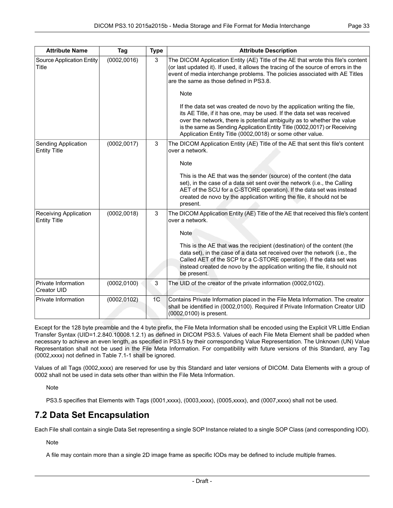| <b>Attribute Name</b>                        | Tag          | <b>Type</b> | <b>Attribute Description</b>                                                                                                                                                                                                                                                                                                                                          |
|----------------------------------------------|--------------|-------------|-----------------------------------------------------------------------------------------------------------------------------------------------------------------------------------------------------------------------------------------------------------------------------------------------------------------------------------------------------------------------|
| Source Application Entity<br>Title           | (0002, 0016) | 3           | The DICOM Application Entity (AE) Title of the AE that wrote this file's content<br>(or last updated it). If used, it allows the tracing of the source of errors in the<br>event of media interchange problems. The policies associated with AE Titles<br>are the same as those defined in PS3.8.                                                                     |
|                                              |              |             | <b>Note</b>                                                                                                                                                                                                                                                                                                                                                           |
|                                              |              |             | If the data set was created de novo by the application writing the file,<br>its AE Title, if it has one, may be used. If the data set was received<br>over the network, there is potential ambiguity as to whether the value<br>is the same as Sending Application Entity Title (0002,0017) or Receiving<br>Application Entity Title (0002,0018) or some other value. |
| Sending Application<br><b>Entity Title</b>   | (0002, 0017) | 3           | The DICOM Application Entity (AE) Title of the AE that sent this file's content<br>over a network.                                                                                                                                                                                                                                                                    |
|                                              |              |             | <b>Note</b>                                                                                                                                                                                                                                                                                                                                                           |
|                                              |              |             | This is the AE that was the sender (source) of the content (the data<br>set), in the case of a data set sent over the network (i.e., the Calling<br>AET of the SCU for a C-STORE operation). If the data set was instead<br>created de novo by the application writing the file, it should not be<br>present.                                                         |
| Receiving Application<br><b>Entity Title</b> | (0002, 0018) | 3           | The DICOM Application Entity (AE) Title of the AE that received this file's content<br>over a network.                                                                                                                                                                                                                                                                |
|                                              |              |             | <b>Note</b>                                                                                                                                                                                                                                                                                                                                                           |
|                                              |              |             | This is the AE that was the recipient (destination) of the content (the<br>data set), in the case of a data set received over the network (i.e., the<br>Called AET of the SCP for a C-STORE operation). If the data set was<br>instead created de novo by the application writing the file, it should not<br>be present.                                              |
| Private Information<br>Creator UID           | (0002, 0100) | 3           | The UID of the creator of the private information (0002,0102).                                                                                                                                                                                                                                                                                                        |
| Private Information                          | (0002, 0102) | 1C          | Contains Private Information placed in the File Meta Information. The creator<br>shall be identified in (0002,0100). Required if Private Information Creator UID<br>(0002,0100) is present.                                                                                                                                                                           |

Except for the 128 byte preamble and the 4 byte prefix, the File Meta Information shall be encoded using the Explicit VR Little Endian Transfer Syntax (UID=1.2.840.10008.1.2.1) as defined in DICOM [PS3.5](part05.pdf#PS3.5). Values of each File Meta Element shall be padded when necessary to achieve an even length, as specified in [PS3.5](part05.pdf#PS3.5) by their corresponding Value Representation. The Unknown (UN) Value Representation shall not be used in the File Meta Information. For compatibility with future versions of this Standard, any Tag (0002,xxxx) not defined in [Table](#page-31-0) 7.1-1 shall be ignored.

<span id="page-32-0"></span>Values of all Tags (0002,xxxx) are reserved for use by this Standard and later versions of DICOM. Data Elements with a group of 0002 shall not be used in data sets other than within the File Meta Information.

**Note** 

[PS3.5](part05.pdf#PS3.5) specifies that Elements with Tags (0001,xxxx), (0003,xxxx), (0005,xxxx), and (0007,xxxx) shall not be used.

## **7.2 Data Set Encapsulation**

Each File shall contain a single Data Set representing a single SOP Instance related to a single SOP Class (and corresponding IOD).

**Note** 

A file may contain more than a single 2D image frame as specific IODs may be defined to include multiple frames.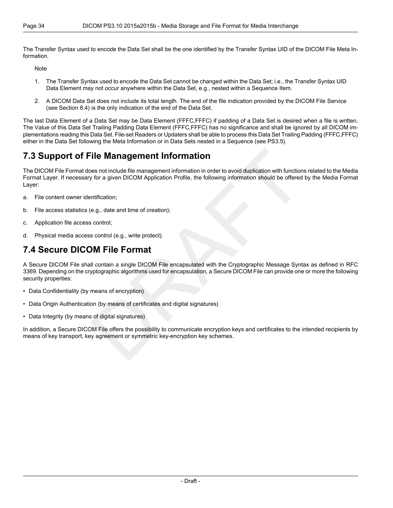The Transfer Syntax used to encode the Data Set shall be the one identified by the Transfer Syntax UID of the DICOM File Meta Information.

**Note** 

- 1. The Transfer Syntax used to encode the Data Set cannot be changed within the Data Set; i.e., the Transfer Syntax UID Data Element may not occur anywhere within the Data Set, e.g., nested within a Sequence Item.
- 2. A DICOM Data Set does not include its total length. The end of the file indication provided by the DICOM File Service (see [Section](#page-37-0) 8.4) is the only indication of the end of the Data Set.

<span id="page-33-0"></span>The last Data Element of a Data Set may be Data Element (FFFC,FFFC) if padding of a Data Set is desired when a file is written. The Value of this Data Set Trailing Padding Data Element (FFFC,FFFC) has no significance and shall be ignored by all DICOM implementations reading this Data Set. File-set Readers or Updaters shall be able to process this Data Set Trailing Padding (FFFC,FFFC) either in the Data Set following the Meta Information or in Data Sets nested in a Sequence (see [PS3.5](part05.pdf#PS3.5)).

## **7.3 Support of File Management Information**

The DICOM File Format does not include file management information in order to avoid duplication with functions related to the Media Format Layer. If necessary for a given DICOM Application Profile, the following information should be offered by the Media Format Layer:

- a. File content owner identification;
- b. File access statistics (e.g., date and time of creation);
- <span id="page-33-1"></span>c. Application file access control;
- d. Physical media access control (e.g., write protect).

## **7.4 Secure DICOM File Format**

A Secure DICOM File shall contain a single DICOM File encapsulated with the Cryptographic Message Syntax as defined in RFC 3369. Depending on the cryptographic algorithms used for encapsulation, a Secure DICOM File can provide one or more the following security properties:

- Data Confidentiality (by means of encryption)
- Data Origin Authentication (by means of certificates and digital signatures)
- Data Integrity (by means of digital signatures)

In addition, a Secure DICOM File offers the possibility to communicate encryption keys and certificates to the intended recipients by means of key transport, key agreement or symmetric key-encryption key schemes.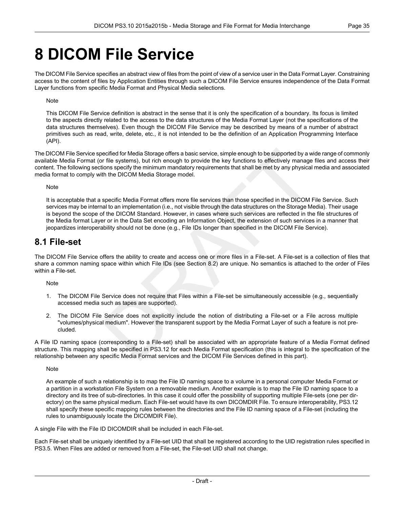## <span id="page-34-0"></span>**8 DICOM File Service**

The DICOM File Service specifies an abstract view of files from the point of view of a service user in the Data Format Layer. Constraining access to the content of files by Application Entities through such a DICOM File Service ensures independence of the Data Format Layer functions from specific Media Format and Physical Media selections.

#### Note

This DICOM File Service definition is abstract in the sense that it is only the specification of a boundary. Its focus is limited to the aspects directly related to the access to the data structures of the Media Format Layer (not the specifications of the data structures themselves). Even though the DICOM File Service may be described by means of a number of abstract primitives such as read, write, delete, etc., it is not intended to be the definition of an Application Programming Interface (API).

The DICOM File Service specified for Media Storage offers a basic service, simple enough to be supported by a wide range of commonly available Media Format (or file systems), but rich enough to provide the key functions to effectively manage files and access their content. The following sections specify the minimum mandatory requirements that shall be met by any physical media and associated media format to comply with the DICOM Media Storage model.

#### Note

<span id="page-34-1"></span>It is acceptable that a specific Media Format offers more file services than those specified in the DICOM File Service. Such services may be internal to an implementation (i.e., not visible through the data structures on the Storage Media). Their usage is beyond the scope of the DICOM Standard. However, in cases where such services are reflected in the file structures of the Media format Layer or in the Data Set encoding an Information Object, the extension of such services in a manner that jeopardizes interoperability should not be done (e.g., File IDs longer than specified in the DICOM File Service).

## **8.1 File-set**

The DICOM File Service offers the ability to create and access one or more files in a File-set. A File-set is a collection of files that share a common naming space within which File IDs (see [Section](#page-35-0) 8.2) are unique. No semantics is attached to the order of Files within a File-set.

Note

- 1. The DICOM File Service does not require that Files within a File-set be simultaneously accessible (e.g., sequentially accessed media such as tapes are supported).
- 2. The DICOM File Service does not explicitly include the notion of distributing a File-set or a File across multiple "volumes/physical medium". However the transparent support by the Media Format Layer of such a feature is not precluded.

A File ID naming space (corresponding to a File-set) shall be associated with an appropriate feature of a Media Format defined structure. This mapping shall be specified in [PS3.12](part12.pdf#PS3.12) for each Media Format specification (this is integral to the specification of the relationship between any specific Media Format services and the DICOM File Services defined in this part).

Note

An example of such a relationship is to map the File ID naming space to a volume in a personal computer Media Format or a partition in a workstation File System on a removable medium. Another example is to map the File ID naming space to a directory and its tree of sub-directories. In this case it could offer the possibility of supporting multiple File-sets (one per directory) on the same physical medium. Each File-set would have its own DICOMDIR File. To ensure interoperability, [PS3.12](part12.pdf#PS3.12) shall specify these specific mapping rules between the directories and the File ID naming space of a File-set (including the rules to unambiguously locate the DICOMDIR File).

A single File with the File ID DICOMDIR shall be included in each File-set.

Each File-set shall be uniquely identified by a File-set UID that shall be registered according to the UID registration rules specified in [PS3.5](part05.pdf#PS3.5). When Files are added or removed from a File-set, the File-set UID shall not change.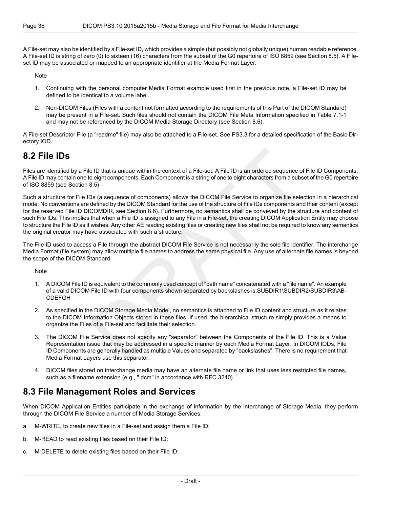A File-set may also be identified by a File-set ID, which provides a simple (but possibly not globally unique) human readable reference. A File-set ID is string of zero (0) to sixteen (16) characters from the subset of the G0 repertoire of ISO 8859 (see [Section](#page-37-1) 8.5). A Fileset ID may be associated or mapped to an appropriate identifier at the Media Format Layer.

Note

- 1. Continuing with the personal computer Media Format example used first in the previous note, a File-set ID may be defined to be identical to a volume label.
- 2. Non-DICOM Files (Files with a content not formatted according to the requirements of this Part of the DICOM Standard) may be present in a File-set. Such files should not contain the DICOM File Meta Information specified in [Table](#page-31-0) 7.1-1 and may not be referenced by the DICOM Media Storage Directory (see [Section](#page-37-2) 8.6).

<span id="page-35-0"></span>A File-set Descriptor File (a "readme" file) may also be attached to a File-set. See [PS3.3](part03.pdf#PS3.3) for a detailed specification of the Basic Directory IOD.

## **8.2 File IDs**

Files are identified by a File ID that is unique within the context of a File-set. A File ID is an ordered sequence of File ID Components. A File ID may contain one to eight components. Each Component is a string of one to eight characters from a subset of the G0 repertoire of ISO 8859 (see [Section](#page-37-1) 8.5)

Such a structure for File IDs (a sequence of components) allows the DICOM File Service to organize file selection in a hierarchical mode. No conventions are defined by the DICOM Standard for the use of the structure of File IDs components and their content (except for the reserved File ID DICOMDIR, see [Section](#page-37-2) 8.6). Furthermore, no semantics shall be conveyed by the structure and content of such File IDs. This implies that when a File ID is assigned to any File in a File-set, the creating DICOM Application Entity may choose to structure the File ID as it wishes. Any other AE reading existing files or creating new files shall not be required to know any semantics the original creator may have associated with such a structure.

The File ID used to access a File through the abstract DICOM File Service is not necessarily the sole file identifier. The interchange Media Format (file system) may allow multiple file names to address the same physical file. Any use of alternate file names is beyond the scope of the DICOM Standard.

**Note** 

- 1. A DICOM File ID is equivalent to the commonly used concept of "path name" concatenated with a "file name". An example of a valid DICOM File ID with four components shown separated by backslashes is:SUBDIR1\SUBDIR2\SUBDIR3\AB-CDEFGH
- 2. As specified in the DICOM Storage Media Model, no semantics is attached to File ID content and structure as it relates to the DICOM Information Objects stored in these files. If used, the hierarchical structure simply provides a means to organize the Files of a File-set and facilitate their selection.
- <span id="page-35-1"></span>3. The DICOM File Service does not specify any "separator" between the Components of the File ID. This is a Value Representation issue that may be addressed in a specific manner by each Media Format Layer. In DICOM IODs, File ID Components are generally handled as multiple Values and separated by "backslashes". There is no requirement that Media Format Layers use this separator.
- 4. DICOM files stored on interchange media may have an alternate file name or link that uses less restricted file names, such as a filename extension (e.g., ".dcm" in accordance with RFC 3240).

## **8.3 File Management Roles and Services**

When DICOM Application Entities participate in the exchange of information by the interchange of Storage Media, they perform through the DICOM File Service a number of Media Storage Services:

- a. M-WRITE, to create new files in a File-set and assign them a File ID;
- b. M-READ to read existing files based on their File ID;
- c. M-DELETE to delete existing files based on their File ID;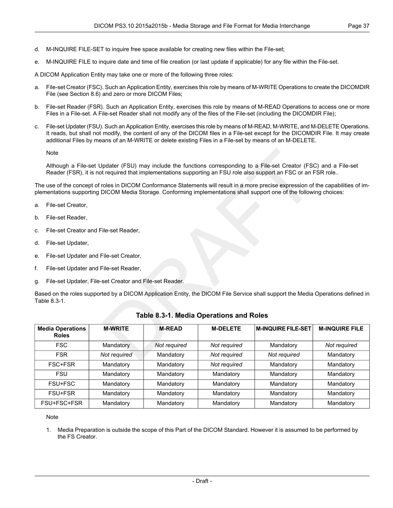- d. M-INQUIRE FILE-SET to inquire free space available for creating new files within the File-set;
- e. M-INQUIRE FILE to inquire date and time of file creation (or last update if applicable) for any file within the File-set.

A DICOM Application Entity may take one or more of the following three roles:

- a. File-set Creator (FSC). Such an Application Entity, exercises this role by means of M-WRITE Operations to create the DICOMDIR File (see [Section](#page-37-2) 8.6) and zero or more DICOM Files;
- b. File-set Reader (FSR). Such an Application Entity, exercises this role by means of M-READ Operations to access one or more Files in a File-set. A File-set Reader shall not modify any of the files of the File-set (including the DICOMDIR File);
- File-set Updater (FSU). Such an Application Entity, exercises this role by means of M-READ, M-WRITE, and M-DELETE Operations. It reads, but shall not modify, the content of any of the DICOM files in a File-set except for the DICOMDIR File. It may create additional Files by means of an M-WRITE or delete existing Files in a File-set by means of an M-DELETE.

Note

Although a File-set Updater (FSU) may include the functions corresponding to a File-set Creator (FSC) and a File-set Reader (FSR), it is not required that implementations supporting an FSU role also support an FSC or an FSR role..

The use of the concept of roles in DICOM Conformance Statements will result in a more precise expression of the capabilities of implementations supporting DICOM Media Storage. Conforming implementations shall support one of the following choices:

- a. File-set Creator,
- b. File-set Reader,
- c. File-set Creator and File-set Reader,
- d. File-set Updater,
- e. File-set Updater and File-set Creator,
- f. File-set Updater and File-set Reader,
- <span id="page-36-0"></span>g. File-set Updater, File-set Creator and File-set Reader.

Based on the roles supported by a DICOM Application Entity, the DICOM File Service shall support the Media Operations defined in [Table](#page-36-0) 8.3-1.

| <b>Media Operations</b><br><b>Roles</b> | <b>M-WRITE</b> | <b>M-READ</b> | <b>M-DELETE</b> | <b>M-INQUIRE FILE-SET</b> | <b>M-INQUIRE FILE</b> |
|-----------------------------------------|----------------|---------------|-----------------|---------------------------|-----------------------|
| <b>FSC</b>                              | Mandatory      | Not required  | Not required    | Mandatory                 | Not required          |
| <b>FSR</b>                              | Not required   | Mandatory     | Not required    | Not required              | Mandatory             |
| FSC+FSR                                 | Mandatory      | Mandatory     | Not required    | Mandatory                 | Mandatory             |
| <b>FSU</b>                              | Mandatory      | Mandatory     | Mandatory       | Mandatory                 | Mandatory             |
| FSU+FSC                                 | Mandatory      | Mandatory     | Mandatory       | Mandatory                 | Mandatory             |
| FSU+FSR                                 | Mandatory      | Mandatory     | Mandatory       | Mandatory                 | Mandatory             |
| FSU+FSC+FSR                             | Mandatory      | Mandatory     | Mandatory       | Mandatory                 | Mandatory             |

#### **Table 8.3-1. Media Operations and Roles**

#### Note

1. Media Preparation is outside the scope of this Part of the DICOM Standard. However it is assumed to be performed by the FS Creator.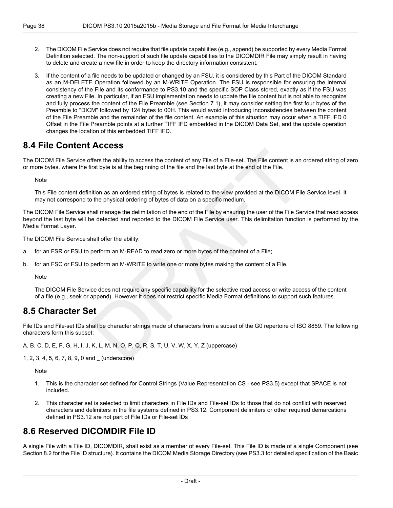- 2. The DICOM File Service does not require that file update capabilities (e.g., append) be supported by every Media Format Definition selected. The non-support of such file update capabilities to the DICOMDIR File may simply result in having to delete and create a new file in order to keep the directory information consistent.
- 3. If the content of a file needs to be updated or changed by an FSU, it is considered by this Part of the DICOM Standard as an M-DELETE Operation followed by an M-WRITE Operation. The FSU is responsible for ensuring the internal consistency of the File and its conformance to PS3.10 and the specific SOP Class stored, exactly as if the FSU was creating a new File. In particular, if an FSU implementation needs to update the file content but is not able to recognize and fully process the content of the File Preamble (see [Section](#page-30-1) 7.1), it may consider setting the first four bytes of the Preamble to "DICM" followed by 124 bytes to 00H. This would avoid introducing inconsistencies between the content of the File Preamble and the remainder of the file content. An example of this situation may occur when a TIFF IFD 0 Offset in the File Preamble points at a further TIFF IFD embedded in the DICOM Data Set, and the update operation changes the location of this embedded TIFF IFD.

## <span id="page-37-0"></span>**8.4 File Content Access**

The DICOM File Service offers the ability to access the content of any File of a File-set. The File content is an ordered string of zero or more bytes, where the first byte is at the beginning of the file and the last byte at the end of the File.

**Note** 

This File content definition as an ordered string of bytes is related to the view provided at the DICOM File Service level. It may not correspond to the physical ordering of bytes of data on a specific medium.

The DICOM File Service shall manage the delimitation of the end of the File by ensuring the user of the File Service that read access beyond the last byte will be detected and reported to the DICOM File Service user. This delimitation function is performed by the Media Format Layer.

The DICOM File Service shall offer the ability:

- a. for an FSR or FSU to perform an M-READ to read zero or more bytes of the content of a File;
- <span id="page-37-1"></span>b. for an FSC or FSU to perform an M-WRITE to write one or more bytes making the content of a File.

Note

The DICOM File Service does not require any specific capability for the selective read access or write access of the content of a file (e.g., seek or append). However it does not restrict specific Media Format definitions to support such features.

### **8.5 Character Set**

File IDs and File-set IDs shall be character strings made of characters from a subset of the G0 repertoire of ISO 8859. The following characters form this subset:

A, B, C, D, E, F, G, H, I, J, K, L, M, N, O, P, Q, R, S, T, U, V, W, X, Y, Z (uppercase)

1, 2, 3, 4, 5, 6, 7, 8, 9, 0 and \_ (underscore)

**Note** 

- <span id="page-37-2"></span>1. This is the character set defined for Control Strings (Value Representation CS - see [PS3.5\)](part05.pdf#PS3.5) except that SPACE is not included.
- 2. This character set is selected to limit characters in File IDs and File-set IDs to those that do not conflict with reserved characters and delimiters in the file systems defined in [PS3.12](part12.pdf#PS3.12). Component delimiters or other required demarcations defined in [PS3.12](part12.pdf#PS3.12) are not part of File IDs or File-set IDs

## **8.6 Reserved DICOMDIR File ID**

A single File with a File ID, DICOMDIR, shall exist as a member of every File-set. This File ID is made of a single Component (see [Section](#page-35-0) 8.2 for the File ID structure). It contains the DICOM Media Storage Directory (see [PS3.3](part03.pdf#PS3.3) for detailed specification of the Basic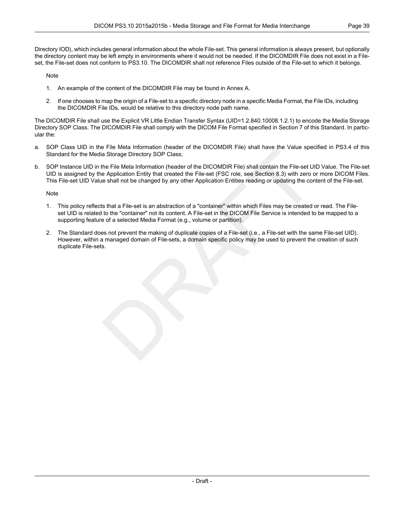Note

- 1. An example of the content of the DICOMDIR File may be found in [Annex](#page-42-0) A.
- 2. If one chooses to map the origin of a File-set to a specific directory node in a specific Media Format, the File IDs, including the DICOMDIR File IDs, would be relative to this directory node path name.

The DICOMDIR File shall use the Explicit VR Little Endian Transfer Syntax (UID=1.2.840.10008.1.2.1) to encode the Media Storage Directory SOP Class. The DICOMDIR File shall comply with the DICOM File Format specified in Section 7 of this Standard. In particular the:

- a. SOP Class UID in the File Meta Information (header of the DICOMDIR File) shall have the Value specified in [PS3.4](part04.pdf#PS3.4) of this Standard for the Media Storage Directory SOP Class;
- b. SOP Instance UID in the File Meta Information (header of the DICOMDIR File) shall contain the File-set UID Value. The File-set UID is assigned by the Application Entity that created the File-set (FSC role, see [Section](#page-35-1) 8.3) with zero or more DICOM Files. This File-set UID Value shall not be changed by any other Application Entities reading or updating the content of the File-set.

Note

- 1. This policy reflects that a File-set is an abstraction of a "container" within which Files may be created or read. The Fileset UID is related to the "container" not its content. A File-set in the DICOM File Service is intended to be mapped to a supporting feature of a selected Media Format (e.g., volume or partition).
- 2. The Standard does not prevent the making of duplicate copies of a File-set (i.e., a File-set with the same File-set UID). However, within a managed domain of File-sets, a domain specific policy may be used to prevent the creation of such duplicate File-sets.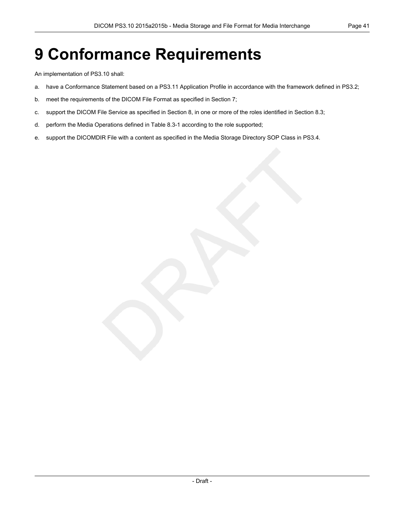## <span id="page-40-0"></span>**9 Conformance Requirements**

An implementation of PS3.10 shall:

- a. have a Conformance Statement based on a [PS3.11](part11.pdf#PS3.11) Application Profile in accordance with the framework defined in [PS3.2](part02.pdf#PS3.2);
- b. meet the requirements of the DICOM File Format as specified in [Section](#page-30-0) 7;
- c. support the DICOM File Service as specified in [Section](#page-34-0) 8, in one or more of the roles identified in [Section](#page-35-1) 8.3;
- d. perform the Media Operations defined in [Table](#page-36-0) 8.3-1 according to the role supported;
- e. support the DICOMDIR File with a content as specified in the Media Storage Directory SOP Class in [PS3.4.](part04.pdf#PS3.4)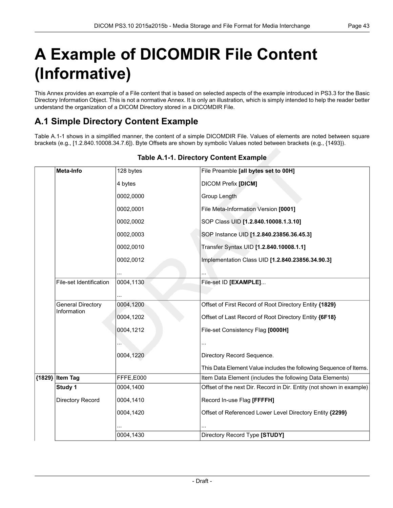# <span id="page-42-0"></span>**A Example of DICOMDIR File Content (Informative)**

<span id="page-42-1"></span>This Annex provides an example of a File content that is based on selected aspects of the example introduced in [PS3.3](part03.pdf#PS3.3) for the Basic Directory Information Object. This is not a normative Annex. It is only an illustration, which is simply intended to help the reader better understand the organization of a DICOM Directory stored in a DICOMDIR File.

## **A.1 Simple Directory Content Example**

<span id="page-42-2"></span>[Table](#page-42-2) A.1-1 shows in a simplified manner, the content of a simple DICOMDIR File. Values of elements are noted between square brackets (e.g., [1.2.840.10008.34.7.6]). Byte Offsets are shown by symbolic Values noted between brackets (e.g., {1493}).

|        | Meta-Info                               | 128 bytes | File Preamble <b>[all bytes set to 00H]</b>                          |
|--------|-----------------------------------------|-----------|----------------------------------------------------------------------|
|        |                                         | 4 bytes   | <b>DICOM Prefix [DICM]</b>                                           |
|        |                                         | 0002,0000 | Group Length                                                         |
|        |                                         | 0002,0001 | File Meta-Information Version [0001]                                 |
|        |                                         | 0002,0002 | SOP Class UID [1.2.840.10008.1.3.10]                                 |
|        |                                         | 0002,0003 | SOP Instance UID [1.2.840.23856.36.45.3]                             |
|        |                                         | 0002,0010 | Transfer Syntax UID [1.2.840.10008.1.1]                              |
|        |                                         | 0002,0012 | Implementation Class UID [1.2.840.23856.34.90.3]                     |
|        |                                         |           |                                                                      |
|        | File-set Identification                 | 0004,1130 | File-set ID [EXAMPLE]                                                |
|        |                                         |           |                                                                      |
|        | <b>General Directory</b><br>Information | 0004,1200 | Offset of First Record of Root Directory Entity {1829}               |
|        |                                         | 0004,1202 | Offset of Last Record of Root Directory Entity {6F18}                |
|        |                                         | 0004,1212 | File-set Consistency Flag [0000H]                                    |
|        |                                         |           |                                                                      |
|        |                                         | 0004,1220 | Directory Record Sequence.                                           |
|        |                                         |           | This Data Element Value includes the following Sequence of Items.    |
| {1829} | <b>Item Tag</b>                         | FFFE,E000 | Item Data Element (includes the following Data Elements)             |
|        | Study 1                                 | 0004,1400 | Offset of the next Dir. Record in Dir. Entity (not shown in example) |
|        | Directory Record                        | 0004,1410 | Record In-use Flag [FFFFH]                                           |
|        |                                         | 0004,1420 | Offset of Referenced Lower Level Directory Entity {2299}             |
|        |                                         |           |                                                                      |
|        |                                         | 0004,1430 | Directory Record Type [STUDY]                                        |

### **Table A.1-1. Directory Content Example**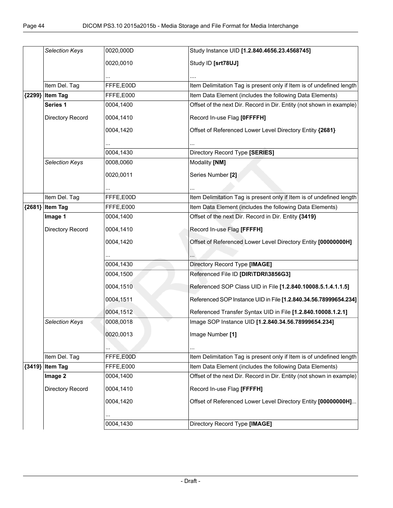|          | Selection Keys    | 0020,000D | Study Instance UID [1.2.840.4656.23.4568745]                         |
|----------|-------------------|-----------|----------------------------------------------------------------------|
|          |                   | 0020,0010 | Study ID [srt78UJ]                                                   |
|          |                   |           |                                                                      |
|          |                   |           |                                                                      |
|          | Item Del. Tag     | FFFE,E00D | Item Delimitation Tag is present only if Item is of undefined length |
| ${2299}$ | <b>Item Tag</b>   | FFFE,E000 | Item Data Element (includes the following Data Elements)             |
|          | Series 1          | 0004,1400 | Offset of the next Dir. Record in Dir. Entity (not shown in example) |
|          | Directory Record  | 0004,1410 | Record In-use Flag [OFFFFH]                                          |
|          |                   | 0004,1420 | Offset of Referenced Lower Level Directory Entity {2681}             |
|          |                   |           |                                                                      |
|          |                   | 0004,1430 | Directory Record Type [SERIES]                                       |
|          | Selection Keys    | 0008,0060 | Modality [NM]                                                        |
|          |                   | 0020,0011 | Series Number [2]                                                    |
|          |                   |           |                                                                      |
|          |                   | FFFE,E00D |                                                                      |
|          | Item Del. Tag     |           | Item Delimitation Tag is present only if Item is of undefined length |
|          | ${2681}$ Item Tag | FFFE,E000 | Item Data Element (includes the following Data Elements)             |
|          | Image 1           | 0004,1400 | Offset of the next Dir. Record in Dir. Entity {3419}                 |
|          | Directory Record  | 0004,1410 | Record In-use Flag [FFFFH]                                           |
|          |                   | 0004,1420 | Offset of Referenced Lower Level Directory Entity [00000000H]        |
|          |                   |           |                                                                      |
|          |                   | 0004,1430 | Directory Record Type [IMAGE]                                        |
|          |                   | 0004,1500 | Referenced File ID [DIR\TDRI\3856G3]                                 |
|          |                   | 0004,1510 | Referenced SOP Class UID in File [1.2.840.10008.5.1.4.1.1.5]         |
|          |                   | 0004,1511 | Referenced SOP Instance UID in File [1.2.840.34.56.78999654.234]     |
|          |                   | 0004,1512 | Referenced Transfer Syntax UID in File [1.2.840.10008.1.2.1]         |
|          | Selection Keys    | 0008,0018 | Image SOP Instance UID [1.2.840.34.56.78999654.234]                  |
|          |                   | 0020,0013 | Image Number [1]                                                     |
|          |                   |           |                                                                      |
|          | Item Del. Tag     | FFFE,E00D | Item Delimitation Tag is present only if Item is of undefined length |
|          | {3419} Item Tag   | FFFE,E000 | Item Data Element (includes the following Data Elements)             |
|          | Image 2           | 0004,1400 | Offset of the next Dir. Record in Dir. Entity (not shown in example) |
|          | Directory Record  | 0004,1410 | Record In-use Flag [FFFFH]                                           |
|          |                   |           |                                                                      |
|          |                   | 0004,1420 | Offset of Referenced Lower Level Directory Entity [00000000H]        |
|          |                   |           |                                                                      |
|          |                   | 0004,1430 | Directory Record Type [IMAGE]                                        |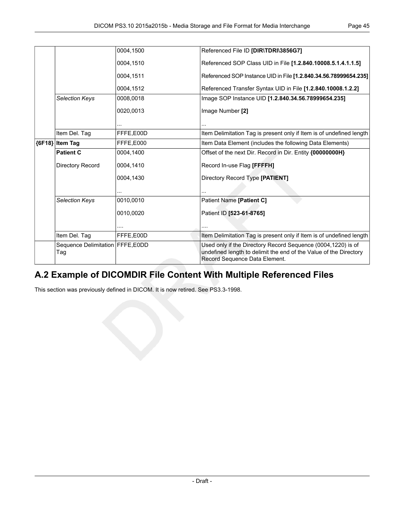|          |                                           | 0004,1500 | Referenced File ID [DIR\TDRI\3856G7]                                                                                                                               |
|----------|-------------------------------------------|-----------|--------------------------------------------------------------------------------------------------------------------------------------------------------------------|
|          |                                           | 0004,1510 | Referenced SOP Class UID in File [1.2.840.10008.5.1.4.1.1.5]                                                                                                       |
|          |                                           | 0004,1511 | Referenced SOP Instance UID in File [1.2.840.34.56.78999654.235]                                                                                                   |
|          |                                           | 0004,1512 | Referenced Transfer Syntax UID in File [1.2.840.10008.1.2.2]                                                                                                       |
|          | <b>Selection Keys</b>                     | 0008,0018 | Image SOP Instance UID [1.2.840.34.56.78999654.235]                                                                                                                |
|          |                                           | 0020,0013 | Image Number [2]                                                                                                                                                   |
|          |                                           |           |                                                                                                                                                                    |
|          | Item Del. Tag                             | FFFE.E00D | Item Delimitation Tag is present only if Item is of undefined length                                                                                               |
| ${6F18}$ | <b>Item Tag</b>                           | FFFE,E000 | Item Data Element (includes the following Data Elements)                                                                                                           |
|          | <b>Patient C</b>                          | 0004.1400 | Offset of the next Dir. Record in Dir. Entity {00000000H}                                                                                                          |
|          | Directory Record                          | 0004,1410 | Record In-use Flag [FFFFH]                                                                                                                                         |
|          |                                           | 0004,1430 | Directory Record Type [PATIENT]                                                                                                                                    |
|          |                                           |           |                                                                                                                                                                    |
|          | <b>Selection Keys</b>                     | 0010,0010 | <b>Patient Name [Patient C]</b>                                                                                                                                    |
|          |                                           | 0010,0020 | Patient ID [523-61-8765]                                                                                                                                           |
|          |                                           |           |                                                                                                                                                                    |
|          | Item Del. Tag                             | FFFE.E00D | Item Delimitation Tag is present only if Item is of undefined length                                                                                               |
|          | Sequence Delimitation   FFFE, E0DD<br>Tag |           | Used only if the Directory Record Sequence (0004,1220) is of<br>undefined length to delimit the end of the Value of the Directory<br>Record Sequence Data Element. |

## <span id="page-44-0"></span>**A.2 Example of DICOMDIR File Content With Multiple Referenced Files**

This section was previously defined in DICOM. It is now retired. See PS3.3-1998.